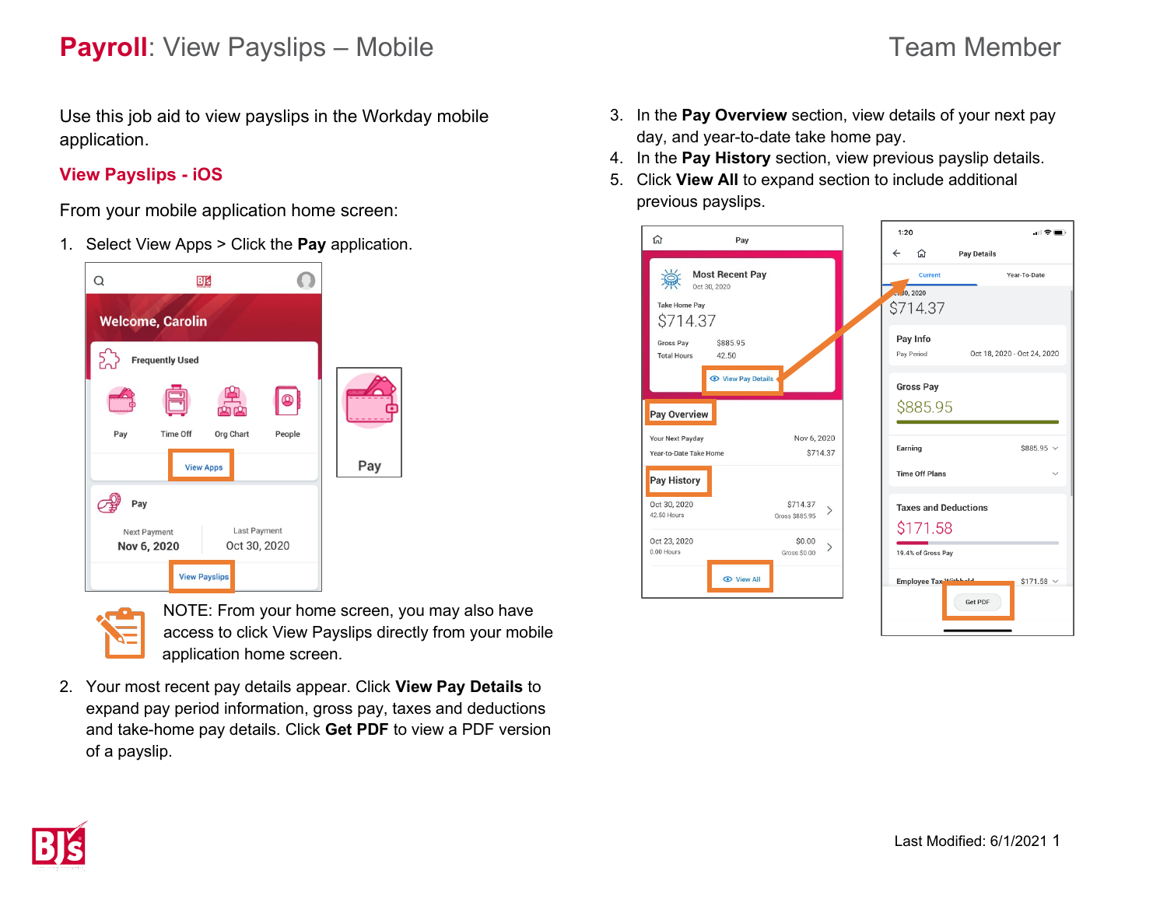## **Payroll**: View Payslips – Mobile Team Member

Use this job aid to view payslips in the Workday mobile application.

## **View Payslips - iOS**

From your mobile application home screen:

1. Select View Apps > Click the **Pay** application.





NOTE: From your home screen, you may also have access to click View Payslips directly from your mobile application home screen.

2. Your most recent pay details appear. Click **View Pay Details** to expand pay period information, gross pay, taxes and deductions and take-home pay details. Click **Get PDF** to view a PDF version of a payslip.

- 3. In the **Pay Overview** section, view details of your next pay day, and year-to-date take home pay.
- 4. In the **Pay History** section, view previous payslip details.
- 5. Click **View All** to expand section to include additional previous payslips.